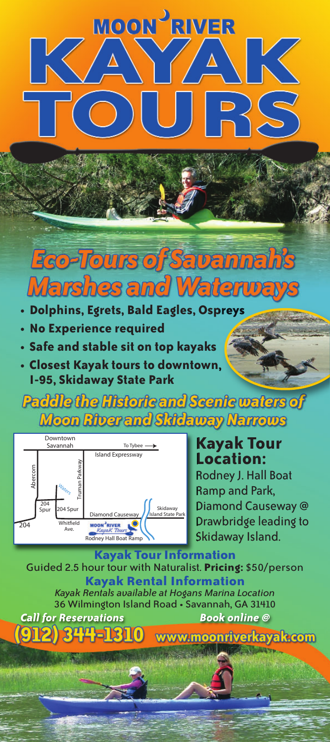## **MOON<sup>J</sup>RIVER**  $\sqrt{\frac{1}{2}}$  $B(S)$

### **Eco-Tours of Savannah's Marshes and Waterways**

- **Dolphins, Egrets, Bald Eagles, Ospreys**
- **No Experience required**
- **Safe and stable sit on top kayaks**
- **Closest Kayak tours to downtown, I-95, Skidaway State Park**

Paddle the Misioric and Scents waters of **Moon River and Skidaway Narrows** 



#### **Kayak Tour Location:**

Rodney J. Hall Boat Ramp and Park, Diamond Causeway @ Drawbridge leading to Skidaway Island.

**Kayak Tour Information** Guided 2.5 hour tour with Naturalist. **Pricing:** \$50/person **Kayak Rental Information** *Kayak Rentals available at Hogans Marina Location* 36 Wilmington Island Road • Savannah, GA 31410 *Call for Reservations Book online @* www.moonriverkayak.com